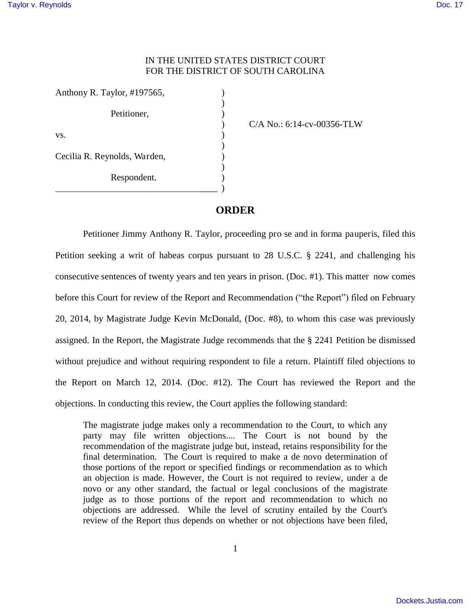## IN THE UNITED STATES DISTRICT COURT FOR THE DISTRICT OF SOUTH CAROLINA

| Anthony R. Taylor, #197565,  |  |
|------------------------------|--|
|                              |  |
| Petitioner,                  |  |
| VS.                          |  |
|                              |  |
| Cecilia R. Reynolds, Warden, |  |
| Respondent.                  |  |
|                              |  |

) C/A No.: 6:14-cv-00356-TLW

## **ORDER**

 Petitioner Jimmy Anthony R. Taylor, proceeding pro se and in forma pauperis, filed this Petition seeking a writ of habeas corpus pursuant to 28 U.S.C. § 2241, and challenging his consecutive sentences of twenty years and ten years in prison. (Doc. #1). This matter now comes before this Court for review of the Report and Recommendation ("the Report") filed on February 20, 2014, by Magistrate Judge Kevin McDonald, (Doc. #8), to whom this case was previously assigned. In the Report, the Magistrate Judge recommends that the § 2241 Petition be dismissed without prejudice and without requiring respondent to file a return. Plaintiff filed objections to the Report on March 12, 2014. (Doc. #12). The Court has reviewed the Report and the objections. In conducting this review, the Court applies the following standard:

The magistrate judge makes only a recommendation to the Court, to which any party may file written objections.... The Court is not bound by the recommendation of the magistrate judge but, instead, retains responsibility for the final determination. The Court is required to make a de novo determination of those portions of the report or specified findings or recommendation as to which an objection is made. However, the Court is not required to review, under a de novo or any other standard, the factual or legal conclusions of the magistrate judge as to those portions of the report and recommendation to which no objections are addressed. While the level of scrutiny entailed by the Court's review of the Report thus depends on whether or not objections have been filed,